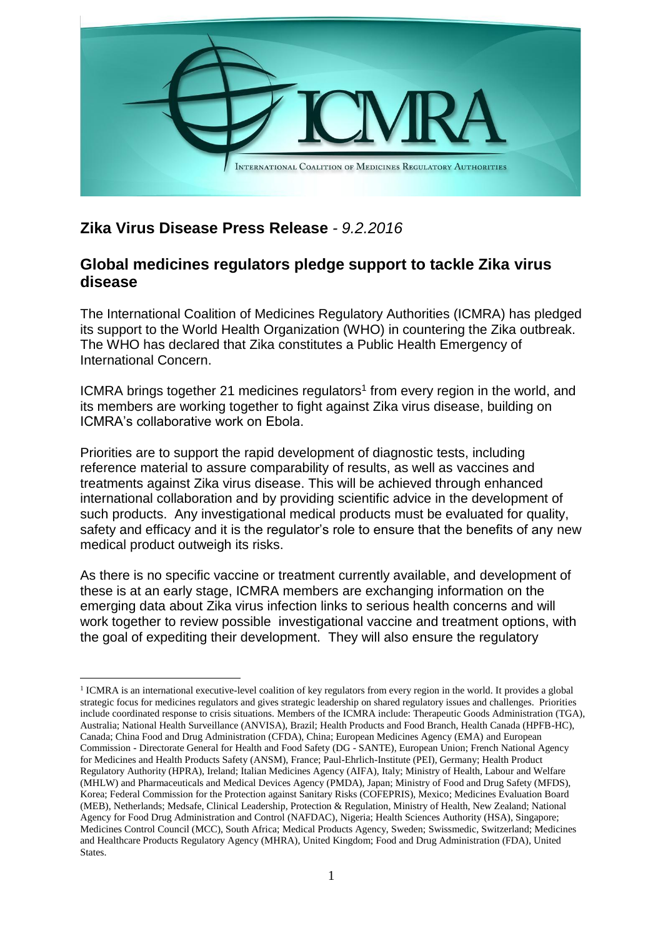

## **Zika Virus Disease Press Release** *- 9.2.2016*

<u>.</u>

## **Global medicines regulators pledge support to tackle Zika virus disease**

The International Coalition of Medicines Regulatory Authorities (ICMRA) has pledged its support to the World Health Organization (WHO) in countering the Zika outbreak. The WHO has declared that Zika constitutes a Public Health Emergency of International Concern.

ICMRA brings together 21 medicines regulators<sup>1</sup> from every region in the world, and its members are working together to fight against Zika virus disease, building on ICMRA's collaborative work on Ebola.

Priorities are to support the rapid development of diagnostic tests, including reference material to assure comparability of results, as well as vaccines and treatments against Zika virus disease. This will be achieved through enhanced international collaboration and by providing scientific advice in the development of such products. Any investigational medical products must be evaluated for quality, safety and efficacy and it is the regulator's role to ensure that the benefits of any new medical product outweigh its risks.

As there is no specific vaccine or treatment currently available, and development of these is at an early stage, ICMRA members are exchanging information on the emerging data about Zika virus infection links to serious health concerns and will work together to review possible investigational vaccine and treatment options, with the goal of expediting their development. They will also ensure the regulatory

<sup>&</sup>lt;sup>1</sup> ICMRA is an international executive-level coalition of key regulators from every region in the world. It provides a global strategic focus for medicines regulators and gives strategic leadership on shared regulatory issues and challenges. Priorities include coordinated response to crisis situations. Members of the ICMRA include: Therapeutic Goods Administration (TGA), Australia; National Health Surveillance (ANVISA), Brazil; Health Products and Food Branch, Health Canada (HPFB-HC), Canada; China Food and Drug Administration (CFDA), China; European Medicines Agency (EMA) and European Commission - Directorate General for Health and Food Safety (DG - SANTE), European Union; French National Agency for Medicines and Health Products Safety (ANSM), France; Paul-Ehrlich-Institute (PEI), Germany; Health Product Regulatory Authority (HPRA), Ireland; Italian Medicines Agency (AIFA), Italy; Ministry of Health, Labour and Welfare (MHLW) and Pharmaceuticals and Medical Devices Agency (PMDA), Japan; Ministry of Food and Drug Safety (MFDS), Korea; Federal Commission for the Protection against Sanitary Risks (COFEPRIS), Mexico; Medicines Evaluation Board (MEB), Netherlands; Medsafe, Clinical Leadership, Protection & Regulation, Ministry of Health, New Zealand; National Agency for Food Drug Administration and Control (NAFDAC), Nigeria; Health Sciences Authority (HSA), Singapore; Medicines Control Council (MCC), South Africa; Medical Products Agency, Sweden; Swissmedic, Switzerland; Medicines and Healthcare Products Regulatory Agency (MHRA), United Kingdom; Food and Drug Administration (FDA), United States.